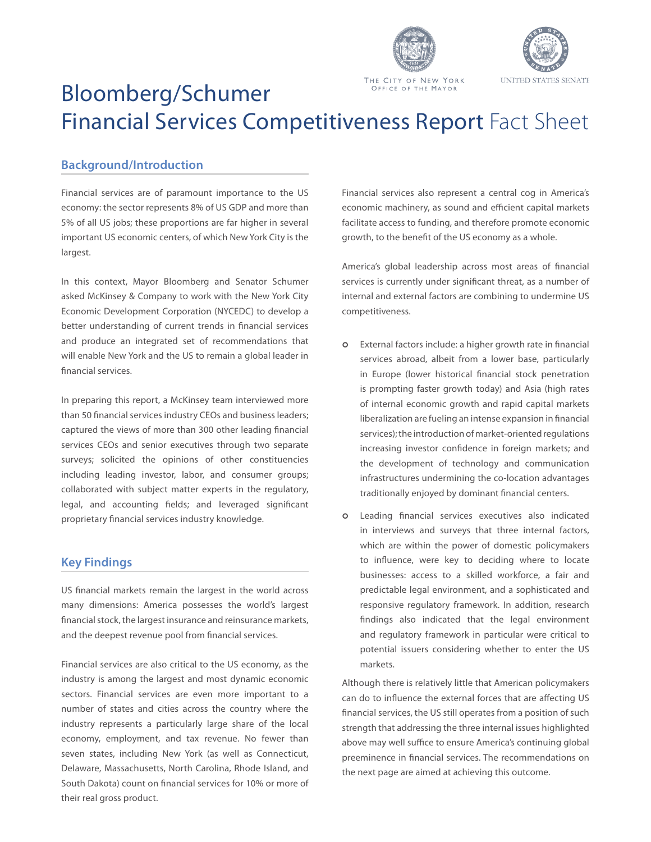



# Bloomberg/Schumer OFFICE OF THE MAYOR Financial Services Competitiveness Report Fact Sheet

# **Background/Introduction**

Financial services are of paramount importance to the US economy: the sector represents 8% of US GDP and more than 5% of all US jobs; these proportions are far higher in several important US economic centers, of which New York City is the largest.

In this context, Mayor Bloomberg and Senator Schumer asked McKinsey & Company to work with the New York City Economic Development Corporation (NYCEDC) to develop a better understanding of current trends in financial services and produce an integrated set of recommendations that will enable New York and the US to remain a global leader in financial services.

In preparing this report, a McKinsey team interviewed more than 50 financial services industry CEOs and business leaders; captured the views of more than 300 other leading financial services CEOs and senior executives through two separate surveys; solicited the opinions of other constituencies including leading investor, labor, and consumer groups; collaborated with subject matter experts in the regulatory, legal, and accounting fields; and leveraged significant proprietary financial services industry knowledge.

# **Key Findings**

US financial markets remain the largest in the world across many dimensions: America possesses the world's largest financial stock, the largest insurance and reinsurance markets, and the deepest revenue pool from financial services.

Financial services are also critical to the US economy, as the industry is among the largest and most dynamic economic sectors. Financial services are even more important to a number of states and cities across the country where the industry represents a particularly large share of the local economy, employment, and tax revenue. No fewer than seven states, including New York (as well as Connecticut, Delaware, Massachusetts, North Carolina, Rhode Island, and South Dakota) count on financial services for 10% or more of their real gross product.

Financial services also represent a central cog in America's economic machinery, as sound and efficient capital markets facilitate access to funding, and therefore promote economic growth, to the benefit of the US economy as a whole.

America's global leadership across most areas of financial services is currently under significant threat, as a number of internal and external factors are combining to undermine US competitiveness.

- **o** External factors include: a higher growth rate in financial services abroad, albeit from a lower base, particularly in Europe (lower historical financial stock penetration is prompting faster growth today) and Asia (high rates of internal economic growth and rapid capital markets liberalization are fueling an intense expansion in financial services); the introduction of market-oriented regulations increasing investor confidence in foreign markets; and the development of technology and communication infrastructures undermining the co-location advantages traditionally enjoyed by dominant financial centers.
- Leading financial services executives also indicated in interviews and surveys that three internal factors, which are within the power of domestic policymakers to influence, were key to deciding where to locate businesses: access to a skilled workforce, a fair and predictable legal environment, and a sophisticated and responsive regulatory framework. In addition, research findings also indicated that the legal environment and regulatory framework in particular were critical to potential issuers considering whether to enter the US markets.  $\circ$

Although there is relatively little that American policymakers can do to influence the external forces that are affecting US financial services, the US still operates from a position of such strength that addressing the three internal issues highlighted above may well suffice to ensure America's continuing global preeminence in financial services. The recommendations on the next page are aimed at achieving this outcome.